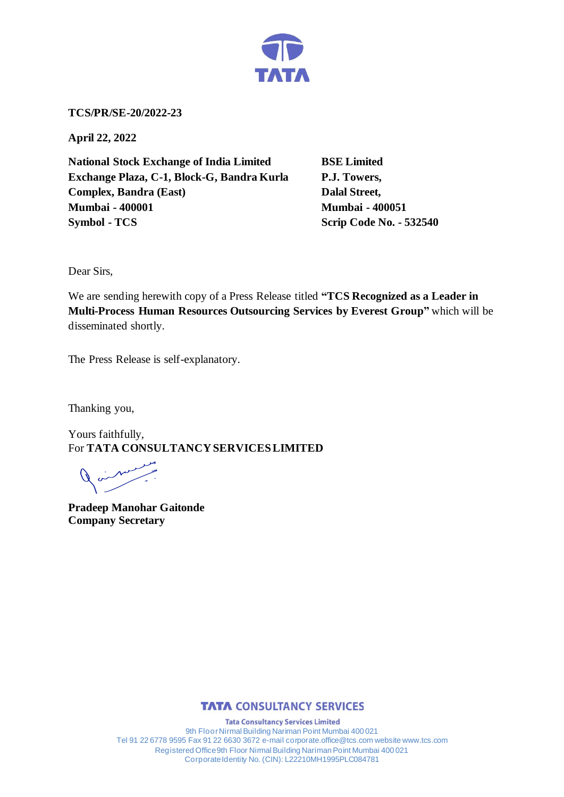

**TCS/PR/SE-20/2022-23**

**April 22, 2022**

**National Stock Exchange of India Limited BSE Limited Exchange Plaza, C-1, Block-G, Bandra Kurla P.J. Towers, Complex, Bandra (East)** Dalal Street, **Mumbai - 400001 Mumbai - 400051 Symbol - TCS Scrip Code No. - 532540** 

Dear Sirs,

We are sending herewith copy of a Press Release titled **"TCS Recognized as a Leader in Multi-Process Human Resources Outsourcing Services by Everest Group"** which will be disseminated shortly.

The Press Release is self-explanatory.

Thanking you,

Yours faithfully, For **TATA CONSULTANCY SERVICES LIMITED**

**Pradeep Manohar Gaitonde Company Secretary**



**Tata Consultancy Services Limited** 9th Floor Nirmal Building Nariman Point Mumbai 400 021 Tel 91 22 6778 9595 Fax 91 22 6630 3672 e-mail corporate.office@tcs.com website www.tcs.com Registered Office 9th Floor Nirmal Building Nariman Point Mumbai 400 021 Corporate Identity No. (CIN): L22210MH1995PLC084781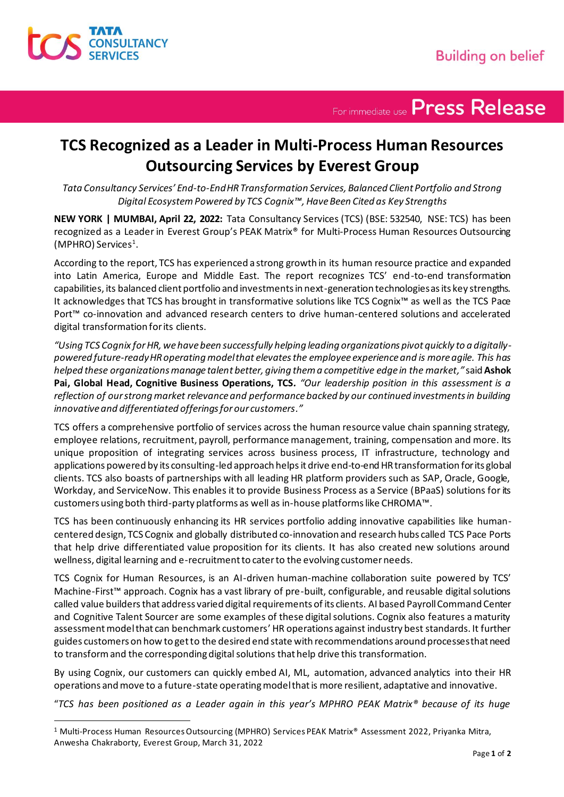

For immediate use Press Release

## **TCS Recognized as a Leader in Multi-Process Human Resources Outsourcing Services by Everest Group**

*Tata Consultancy Services' End-to-End HR Transformation Services, Balanced Client Portfolio and Strong Digital Ecosystem Powered by TCS Cognix™, Have Been Cited as Key Strengths*

**NEW YORK | MUMBAI, April 22, 2022:** Tata Consultancy Services (TCS) (BSE: 532540, NSE: TCS) has been recognized as a Leader in Everest Group's PEAK Matrix® for Multi-Process Human Resources Outsourcing (MPHRO) Services<sup>1</sup>.

According to the report, TCS has experienced a strong growth in its human resource practice and expanded into Latin America, Europe and Middle East. The report recognizes TCS' end-to-end transformation capabilities, its balanced client portfolio and investments in next-generation technologies as its key strengths. It acknowledges that TCS has brought in transformative solutions like TCS Cognix™ as well as the TCS Pace Port™ co-innovation and advanced research centers to drive human-centered solutions and accelerated digital transformation for its clients.

*"Using TCS Cognix for HR, we have been successfully helping leading organizations pivot quickly to a digitallypowered future-ready HR operating model that elevates the employee experience and is more agile. This has helped these organizations manage talent better, giving them a competitive edge in the market,"* said **Ashok Pai, Global Head, Cognitive Business Operations, TCS***. "Our leadership position in this assessment is a reflection of our strong market relevance and performance backed by our continued investments in building innovative and differentiated offerings for our customers."*

TCS offers a comprehensive portfolio of services across the human resource value chain spanning strategy, employee relations, recruitment, payroll, performance management, training, compensation and more. Its unique proposition of integrating services across business process, IT infrastructure, technology and applications powered by its consulting-led approach helps it drive end-to-end HR transformation for its global clients. TCS also boasts of partnerships with all leading HR platform providers such as SAP, Oracle, Google, Workday, and ServiceNow. This enables it to provide Business Process as a Service (BPaaS) solutions for its customers using both third-party platforms as well as in-house platforms like CHROMA™.

TCS has been continuously enhancing its HR services portfolio adding innovative capabilities like humancentered design, TCS Cognix and globally distributed co-innovation and research hubs called TCS Pace Ports that help drive differentiated value proposition for its clients. It has also created new solutions around wellness, digital learning and e-recruitment to cater to the evolving customer needs.

TCS Cognix for Human Resources, is an AI-driven human-machine collaboration suite powered by TCS' Machine-First™ approach. Cognix has a vast library of pre-built, configurable, and reusable digital solutions called value buildersthat address varied digital requirements of its clients. AI based Payroll Command Center and Cognitive Talent Sourcer are some examples of these digital solutions. Cognix also features a maturity assessment model that can benchmark customers' HR operations against industry best standards. It further guides customers on how to get to the desired end state with recommendations around processes that need to transform and the corresponding digital solutions that help drive this transformation.

By using Cognix, our customers can quickly embed AI, ML, automation, advanced analytics into their HR operations and move to a future-state operating model that is more resilient, adaptative and innovative.

"*TCS has been positioned as a Leader again in this year's MPHRO PEAK Matrix® because of its huge* 

<sup>1</sup> Multi-Process Human Resources Outsourcing (MPHRO) Services PEAK Matrix® Assessment 2022, Priyanka Mitra, Anwesha Chakraborty, Everest Group, March 31, 2022